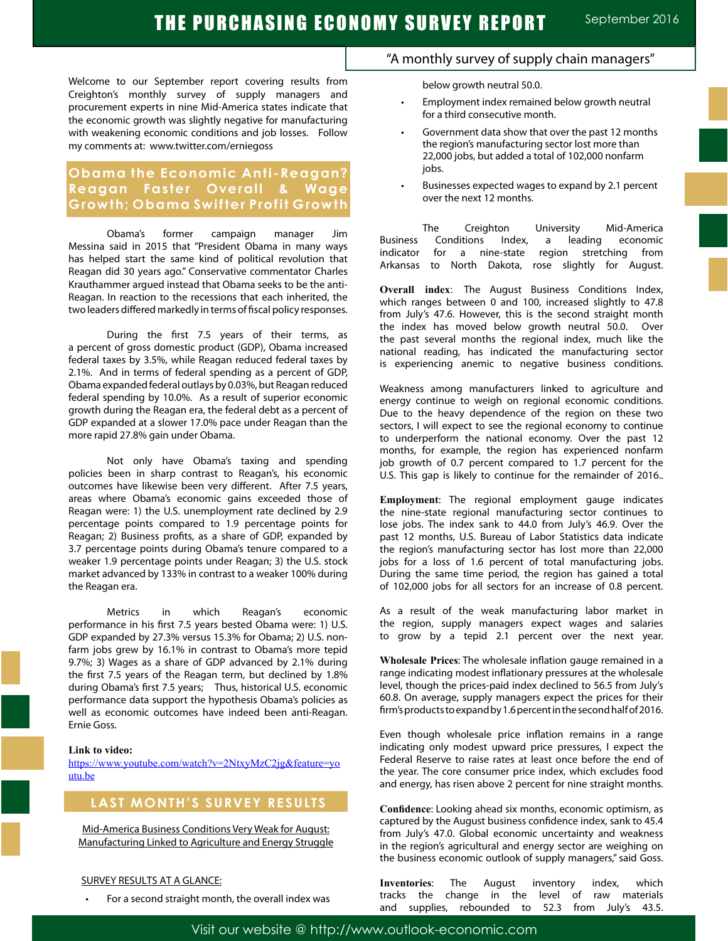Welcome to our September report covering results from Creighton's monthly survey of supply managers and procurement experts in nine Mid-America states indicate that the economic growth was slightly negative for manufacturing with weakening economic conditions and job losses. Follow my comments at: www.twitter.com/erniegoss

# **Obama the Economic Anti-Reagan? Reagan Faster Overall & Wage Growth; Obama Swifter Profit Growth**

Obama's former campaign manager Jim Messina said in 2015 that "President Obama in many ways has helped start the same kind of political revolution that Reagan did 30 years ago." Conservative commentator Charles Krauthammer argued instead that Obama seeks to be the anti-Reagan. In reaction to the recessions that each inherited, the two leaders differed markedly in terms of fiscal policy responses.

During the first 7.5 years of their terms, as a percent of gross domestic product (GDP), Obama increased federal taxes by 3.5%, while Reagan reduced federal taxes by 2.1%. And in terms of federal spending as a percent of GDP, Obama expanded federal outlays by 0.03%, but Reagan reduced federal spending by 10.0%. As a result of superior economic growth during the Reagan era, the federal debt as a percent of GDP expanded at a slower 17.0% pace under Reagan than the more rapid 27.8% gain under Obama.

Not only have Obama's taxing and spending policies been in sharp contrast to Reagan's, his economic outcomes have likewise been very different. After 7.5 years, areas where Obama's economic gains exceeded those of Reagan were: 1) the U.S. unemployment rate declined by 2.9 percentage points compared to 1.9 percentage points for Reagan; 2) Business profits, as a share of GDP, expanded by 3.7 percentage points during Obama's tenure compared to a weaker 1.9 percentage points under Reagan; 3) the U.S. stock market advanced by 133% in contrast to a weaker 100% during the Reagan era.

Metrics in which Reagan's economic performance in his first 7.5 years bested Obama were: 1) U.S. GDP expanded by 27.3% versus 15.3% for Obama; 2) U.S. nonfarm jobs grew by 16.1% in contrast to Obama's more tepid 9.7%; 3) Wages as a share of GDP advanced by 2.1% during the first 7.5 years of the Reagan term, but declined by 1.8% during Obama's first 7.5 years; Thus, historical U.S. economic performance data support the hypothesis Obama's policies as well as economic outcomes have indeed been anti-Reagan. Ernie Goss.

#### **Link to video:**

https://www.youtube.com/watch?v=2NtxyMzC2jg&feature=yo utu.be

# **LAST MONTH'S SURVEY RESULTS**

Mid-America Business Conditions Very Weak for August: Manufacturing Linked to Agriculture and Energy Struggle

#### SURVEY RESULTS AT A GLANCE:

For a second straight month, the overall index was

## "A monthly survey of supply chain managers"

below growth neutral 50.0.

- Employment index remained below growth neutral for a third consecutive month.
- Government data show that over the past 12 months the region's manufacturing sector lost more than 22,000 jobs, but added a total of 102,000 nonfarm jobs.
- Businesses expected wages to expand by 2.1 percent over the next 12 months.

The Creighton University Mid-America Business Conditions Index, a leading economic indicator for a nine-state region stretching from Arkansas to North Dakota, rose slightly for August.

**Overall index**: The August Business Conditions Index, which ranges between 0 and 100, increased slightly to 47.8 from July's 47.6. However, this is the second straight month the index has moved below growth neutral 50.0. Over the past several months the regional index, much like the national reading, has indicated the manufacturing sector is experiencing anemic to negative business conditions.

Weakness among manufacturers linked to agriculture and energy continue to weigh on regional economic conditions. Due to the heavy dependence of the region on these two sectors, I will expect to see the regional economy to continue to underperform the national economy. Over the past 12 months, for example, the region has experienced nonfarm job growth of 0.7 percent compared to 1.7 percent for the U.S. This gap is likely to continue for the remainder of 2016..

**Employment**: The regional employment gauge indicates the nine-state regional manufacturing sector continues to lose jobs. The index sank to 44.0 from July's 46.9. Over the past 12 months, U.S. Bureau of Labor Statistics data indicate the region's manufacturing sector has lost more than 22,000 jobs for a loss of 1.6 percent of total manufacturing jobs. During the same time period, the region has gained a total of 102,000 jobs for all sectors for an increase of 0.8 percent.

As a result of the weak manufacturing labor market in the region, supply managers expect wages and salaries to grow by a tepid 2.1 percent over the next year.

**Wholesale Prices**: The wholesale inflation gauge remained in a range indicating modest inflationary pressures at the wholesale level, though the prices-paid index declined to 56.5 from July's 60.8. On average, supply managers expect the prices for their firm's products to expand by 1.6 percent in the second half of 2016.

Even though wholesale price inflation remains in a range indicating only modest upward price pressures, I expect the Federal Reserve to raise rates at least once before the end of the year. The core consumer price index, which excludes food and energy, has risen above 2 percent for nine straight months.

**Confidence**: Looking ahead six months, economic optimism, as captured by the August business confidence index, sank to 45.4 from July's 47.0. Global economic uncertainty and weakness in the region's agricultural and energy sector are weighing on the business economic outlook of supply managers," said Goss.

**Inventories**: The August inventory index, which tracks the change in the level of raw materials and supplies, rebounded to 52.3 from July's 43.5.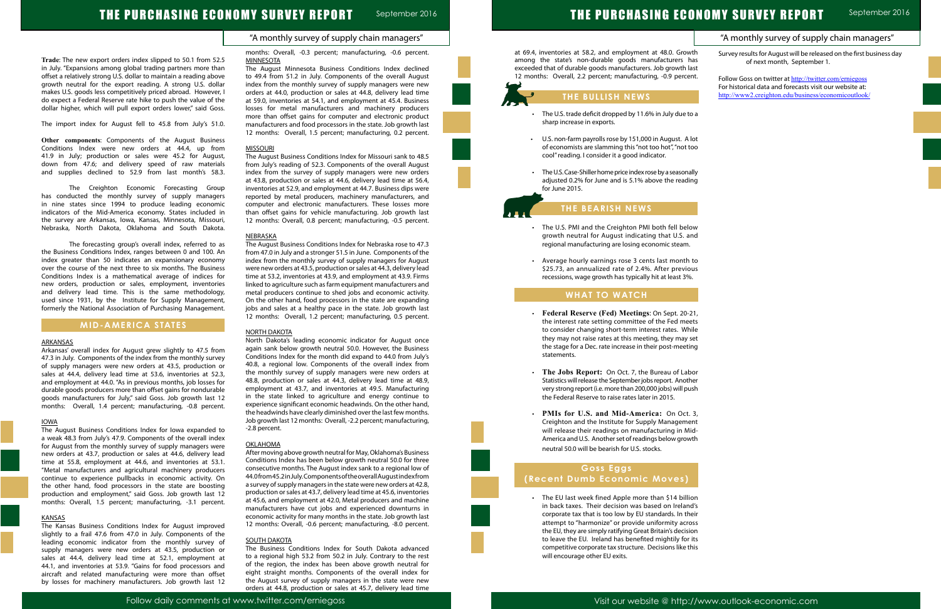# THE PURCHASING ECONOMY SURVEY REPORT

at 69.4, inventories at 58.2, and employment at 48.0. Grow among the state's non-durable goods manufacturers has exceeded that of durable goods manufacturers. Job growth la 12 months: Overall, 2.2 percent; manufacturing, -0.9 percer

### "A monthly survey of supply chain managers"

# THE PURCHASING ECONOMY SURVEY REPORT September 2016

**Trade**: The new export orders index slipped to 50.1 from 52.5 in July. "Expansions among global trading partners more than offset a relatively strong U.S. dollar to maintain a reading above growth neutral for the export reading. A strong U.S. dollar makes U.S. goods less competitively priced abroad. However, I do expect a Federal Reserve rate hike to push the value of the dollar higher, which will pull export orders lower," said Goss.

The import index for August fell to 45.8 from July's 51.0.

**Other components**: Components of the August Business Conditions Index were new orders at 44.4, up from 41.9 in July; production or sales were 45.2 for August, down from 47.6; and delivery speed of raw materials and supplies declined to 52.9 from last month's 58.3.

The Creighton Economic Forecasting Group has conducted the monthly survey of supply managers in nine states since 1994 to produce leading economic indicators of the Mid-America economy. States included in the survey are Arkansas, Iowa, Kansas, Minnesota, Missouri, Nebraska, North Dakota, Oklahoma and South Dakota.

The forecasting group's overall index, referred to as the Business Conditions Index, ranges between 0 and 100. An index greater than 50 indicates an expansionary economy over the course of the next three to six months. The Business Conditions Index is a mathematical average of indices for new orders, production or sales, employment, inventories and delivery lead time. This is the same methodology, used since 1931, by the Institute for Supply Management, formerly the National Association of Purchasing Management.

months: Overall, -0.3 percent; manufacturing, -0.6 percent. **MINNESOTA** 

## **MID-AMERICA STATES**

#### **ARKANSAS**

Arkansas' overall index for August grew slightly to 47.5 from 47.3 in July. Components of the index from the monthly survey of supply managers were new orders at 43.5, production or sales at 44.4, delivery lead time at 53.6, inventories at 52.3, and employment at 44.0. "As in previous months, job losses for durable goods producers more than offset gains for nondurable goods manufacturers for July," said Goss. Job growth last 12 months: Overall, 1.4 percent; manufacturing, -0.8 percent.

#### IOWA

The August Business Conditions Index for Iowa expanded to a weak 48.3 from July's 47.9. Components of the overall index for August from the monthly survey of supply managers were new orders at 43.7, production or sales at 44.6, delivery lead time at 55.8, employment at 44.6, and inventories at 53.1. "Metal manufacturers and agricultural machinery producers continue to experience pullbacks in economic activity. On the other hand, food processors in the state are boosting production and employment," said Goss. Job growth last 12 months: Overall, 1.5 percent; manufacturing, -3.1 percent.

#### **KANSAS**

The Kansas Business Conditions Index for August improved slightly to a frail 47.6 from 47.0 in July. Components of the leading economic indicator from the monthly survey of supply managers were new orders at 43.5, production or sales at 44.4, delivery lead time at 52.1, employment at 44.1, and inventories at 53.9. "Gains for food processors and aircraft and related manufacturing were more than offset by losses for machinery manufacturers. Job growth last 12 The August Minnesota Business Conditions Index declined to 49.4 from 51.2 in July. Components of the overall August index from the monthly survey of supply managers were new orders at 44.0, production or sales at 44.8, delivery lead time at 59.0, inventories at 54.1, and employment at 45.4. Business losses for metal manufacturers and machinery producers more than offset gains for computer and electronic product manufacturers and food processors in the state. Job growth last 12 months: Overall, 1.5 percent; manufacturing, 0.2 percent.

#### **MISSOURI**

- The U.S. trade deficit dropped by 11.6% in July due to sharp increase in exports.
- U.S. non-farm payrolls rose by 151,000 in August. A of economists are slamming this "not too hot", "not too cool" reading. I consider it a good indicator.
- The U.S. Case-Shiller home price index rose by a seasonal adjusted 0.2% for June and is 5.1% above the reading for June 2015.

- The U.S. PMI and the Creighton PMI both fell below growth neutral for August indicating that U.S. and regional manufacturing are losing economic steam.
- Average hourly earnings rose 3 cents last month \$25.73, an annualized rate of 2.4%. After previor recessions, wage growth has typically hit at least 3%.

The August Business Conditions Index for Missouri sank to 48.5 from July's reading of 52.3. Components of the overall August index from the survey of supply managers were new orders at 43.8, production or sales at 44.6, delivery lead time at 56.4, inventories at 52.9, and employment at 44.7. Business dips were reported by metal producers, machinery manufacturers, and computer and electronic manufacturers. These losses more than offset gains for vehicle manufacturing. Job growth last 12 months: Overall, 0.8 percent; manufacturing, -0.5 percent.

> • The EU last week fined Apple more than \$14 billion in back taxes. Their decision was based on Ireland corporate tax that is too low by EU standards. In the attempt to "harmonize" or provide uniformity acros the EU, they are simply ratifying Great Britain's decision to leave the EU. Ireland has benefited mightily for competitive corporate tax structure. Decisions like the will encourage other EU exits.

#### NEBRASKA

|                                     | "A monthly survey of supply chain managers"                                                                                                                              |  |
|-------------------------------------|--------------------------------------------------------------------------------------------------------------------------------------------------------------------------|--|
| th.<br>ıas<br>ast                   | Survey results for August will be released on the first business day<br>of next month, September 1.                                                                      |  |
| nt.                                 | Follow Goss on twitter at http://twitter.com/erniegoss<br>For historical data and forecasts visit our website at:<br>http://www2.creighton.edu/business/economicoutlook/ |  |
| эa                                  |                                                                                                                                                                          |  |
| lot<br>оо                           |                                                                                                                                                                          |  |
| ılly<br>ng                          |                                                                                                                                                                          |  |
|                                     |                                                                                                                                                                          |  |
| ١W<br>nd                            |                                                                                                                                                                          |  |
| to<br>us<br>ı.                      |                                                                                                                                                                          |  |
|                                     |                                                                                                                                                                          |  |
| 21,<br>ets<br>ile                   |                                                                                                                                                                          |  |
| et<br>ng                            |                                                                                                                                                                          |  |
| ٥r<br>er<br>sh                      |                                                                                                                                                                          |  |
| 3,<br>nt<br>id-<br>٬th              |                                                                                                                                                                          |  |
|                                     |                                                                                                                                                                          |  |
| on<br>ďs<br>eir<br>)SS<br>on<br>its |                                                                                                                                                                          |  |
| ٦İs                                 |                                                                                                                                                                          |  |

The August Business Conditions Index for Nebraska rose to 47.3 from 47.0 in July and a stronger 51.5 in June. Components of the index from the monthly survey of supply managers for August were new orders at 43.5, production or sales at 44.3, delivery lead time at 53.2, inventories at 43.9, and employment at 43.9. Firms linked to agriculture such as farm equipment manufacturers and metal producers continue to shed jobs and economic activity. On the other hand, food processors in the state are expanding jobs and sales at a healthy pace in the state. Job growth last 12 months: Overall, 1.2 percent; manufacturing, 0.5 percent.

#### NORTH DAKOTA

North Dakota's leading economic indicator for August once again sank below growth neutral 50.0. However, the Business Conditions Index for the month did expand to 44.0 from July's 40.8, a regional low. Components of the overall index from the monthly survey of supply managers were new orders at 48.8, production or sales at 44.3, delivery lead time at 48.9, employment at 43.7, and inventories at 49.5. Manufacturing in the state linked to agriculture and energy continue to experience significant economic headwinds. On the other hand, the headwinds have clearly diminished over the last few months. Job growth last 12 months: Overall, -2.2 percent; manufacturing, -2.8 percent.

#### OKLAHOMA

After moving above growth neutral for May, Oklahoma's Business Conditions Index has been below growth neutral 50.0 for three consecutive months. The August index sank to a regional low of 44.0 from 45.2 in July. Components of the overall August index from a survey of supply managers in the state were new orders at 42.8, production or sales at 43.7, delivery lead time at 45.6, inventories at 45.6, and employment at 42.0, Metal producers and machine manufacturers have cut jobs and experienced downturns in economic activity for many months in the state. Job growth last 12 months: Overall, -0.6 percent; manufacturing, -8.0 percent.

### **SOUTH DAKOTA**

The Business Conditions Index for South Dakota advanced to a regional high 53.2 from 50.2 in July. Contrary to the rest of the region, the index has been above growth neutral for eight straight months. Components of the overall index for the August survey of supply managers in the state were new orders at 44.8, production or sales at 45.7, delivery lead time

# **THE BULLISH NEWS**

# **THE BEARISH NEWS**

## **WHAT TO WATCH**

l

Ï

- • **Federal Reserve (Fed) Meetings**: On Sept. 20-21, the interest rate setting committee of the Fed mee to consider changing short-term interest rates. Whi they may not raise rates at this meeting, they may s the stage for a Dec. rate increase in their post-meeting statements.
- The Jobs Report: On Oct. 7, the Bureau of Labor Statistics will release the September jobs report. Anoth very strong report (i.e. more than 200,000 jobs) will pus the Federal Reserve to raise rates later in 2015.
- • **PMIs for U.S. and Mid-America:** On Oct. 3, Creighton and the Institute for Supply Managemer will release their readings on manufacturing in Mi America and U.S. Another set of readings below grow neutral 50.0 will be bearish for U.S. stocks.

# **Goss Eggs (Recent Dumb Economic Moves)**